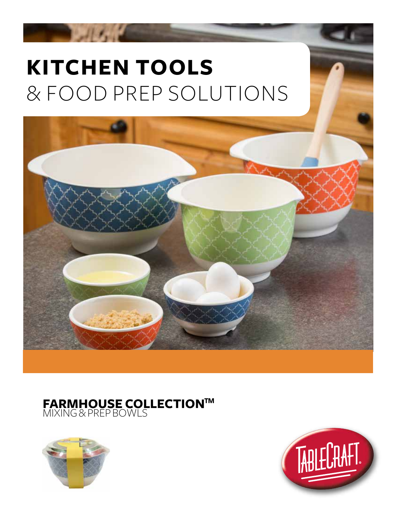## **KITCHEN TOOLS** & FOOD PREP SOLUTIONS

**CONTRACTOR** 



## **FARMHOUSE COLLECTION™** MIXING & PREP BOWLS